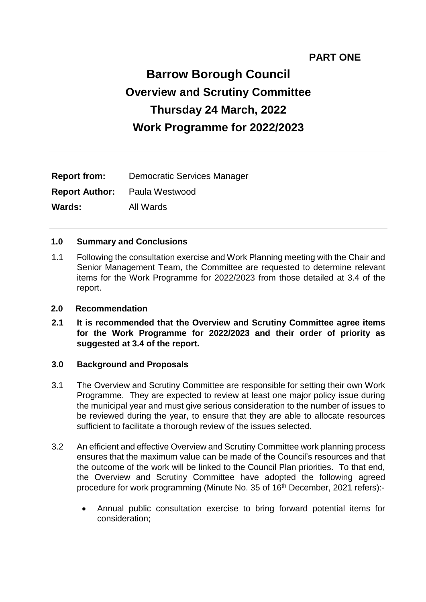# **PART ONE**

# **Barrow Borough Council Overview and Scrutiny Committee Thursday 24 March, 2022 Work Programme for 2022/2023**

| <b>Report from:</b> | <b>Democratic Services Manager</b>   |
|---------------------|--------------------------------------|
|                     | <b>Report Author:</b> Paula Westwood |
| <b>Wards:</b>       | All Wards                            |

#### **1.0 Summary and Conclusions**

1.1 Following the consultation exercise and Work Planning meeting with the Chair and Senior Management Team, the Committee are requested to determine relevant items for the Work Programme for 2022/2023 from those detailed at 3.4 of the report.

#### **2.0 Recommendation**

**2.1 It is recommended that the Overview and Scrutiny Committee agree items for the Work Programme for 2022/2023 and their order of priority as suggested at 3.4 of the report.**

#### **3.0 Background and Proposals**

- 3.1 The Overview and Scrutiny Committee are responsible for setting their own Work Programme. They are expected to review at least one major policy issue during the municipal year and must give serious consideration to the number of issues to be reviewed during the year, to ensure that they are able to allocate resources sufficient to facilitate a thorough review of the issues selected.
- 3.2 An efficient and effective Overview and Scrutiny Committee work planning process ensures that the maximum value can be made of the Council's resources and that the outcome of the work will be linked to the Council Plan priorities. To that end, the Overview and Scrutiny Committee have adopted the following agreed procedure for work programming (Minute No. 35 of 16<sup>th</sup> December, 2021 refers):-
	- Annual public consultation exercise to bring forward potential items for consideration;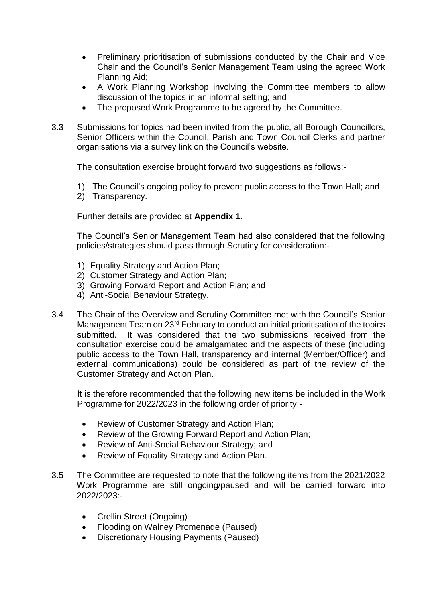- Preliminary prioritisation of submissions conducted by the Chair and Vice Chair and the Council's Senior Management Team using the agreed Work Planning Aid;
- A Work Planning Workshop involving the Committee members to allow discussion of the topics in an informal setting; and
- The proposed Work Programme to be agreed by the Committee.
- 3.3 Submissions for topics had been invited from the public, all Borough Councillors, Senior Officers within the Council, Parish and Town Council Clerks and partner organisations via a survey link on the Council's website.

The consultation exercise brought forward two suggestions as follows:-

- 1) The Council's ongoing policy to prevent public access to the Town Hall; and
- 2) Transparency.

Further details are provided at **Appendix 1.**

The Council's Senior Management Team had also considered that the following policies/strategies should pass through Scrutiny for consideration:-

- 1) Equality Strategy and Action Plan;
- 2) Customer Strategy and Action Plan;
- 3) Growing Forward Report and Action Plan; and
- 4) Anti-Social Behaviour Strategy.
- 3.4 The Chair of the Overview and Scrutiny Committee met with the Council's Senior Management Team on 23<sup>rd</sup> February to conduct an initial prioritisation of the topics submitted. It was considered that the two submissions received from the consultation exercise could be amalgamated and the aspects of these (including public access to the Town Hall, transparency and internal (Member/Officer) and external communications) could be considered as part of the review of the Customer Strategy and Action Plan.

It is therefore recommended that the following new items be included in the Work Programme for 2022/2023 in the following order of priority:-

- Review of Customer Strategy and Action Plan;
- Review of the Growing Forward Report and Action Plan;
- Review of Anti-Social Behaviour Strategy; and
- Review of Equality Strategy and Action Plan.
- 3.5 The Committee are requested to note that the following items from the 2021/2022 Work Programme are still ongoing/paused and will be carried forward into 2022/2023:-
	- Crellin Street (Ongoing)
	- Flooding on Walney Promenade (Paused)
	- Discretionary Housing Payments (Paused)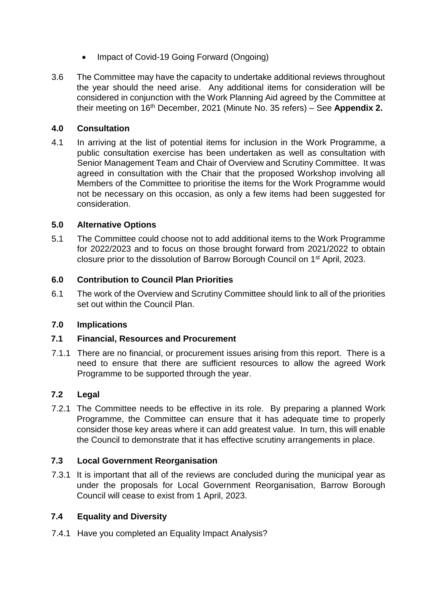- Impact of Covid-19 Going Forward (Ongoing)
- 3.6 The Committee may have the capacity to undertake additional reviews throughout the year should the need arise. Any additional items for consideration will be considered in conjunction with the Work Planning Aid agreed by the Committee at their meeting on 16th December, 2021 (Minute No. 35 refers) – See **Appendix 2.**

# **4.0 Consultation**

4.1 In arriving at the list of potential items for inclusion in the Work Programme, a public consultation exercise has been undertaken as well as consultation with Senior Management Team and Chair of Overview and Scrutiny Committee. It was agreed in consultation with the Chair that the proposed Workshop involving all Members of the Committee to prioritise the items for the Work Programme would not be necessary on this occasion, as only a few items had been suggested for consideration.

## **5.0 Alternative Options**

5.1 The Committee could choose not to add additional items to the Work Programme for 2022/2023 and to focus on those brought forward from 2021/2022 to obtain closure prior to the dissolution of Barrow Borough Council on 1st April, 2023.

## **6.0 Contribution to Council Plan Priorities**

6.1 The work of the Overview and Scrutiny Committee should link to all of the priorities set out within the Council Plan.

#### **7.0 Implications**

#### **7.1 Financial, Resources and Procurement**

7.1.1 There are no financial, or procurement issues arising from this report. There is a need to ensure that there are sufficient resources to allow the agreed Work Programme to be supported through the year.

# **7.2 Legal**

7.2.1 The Committee needs to be effective in its role. By preparing a planned Work Programme, the Committee can ensure that it has adequate time to properly consider those key areas where it can add greatest value. In turn, this will enable the Council to demonstrate that it has effective scrutiny arrangements in place.

#### **7.3 Local Government Reorganisation**

7.3.1 It is important that all of the reviews are concluded during the municipal year as under the proposals for Local Government Reorganisation, Barrow Borough Council will cease to exist from 1 April, 2023.

# **7.4 Equality and Diversity**

7.4.1 Have you completed an Equality Impact Analysis?